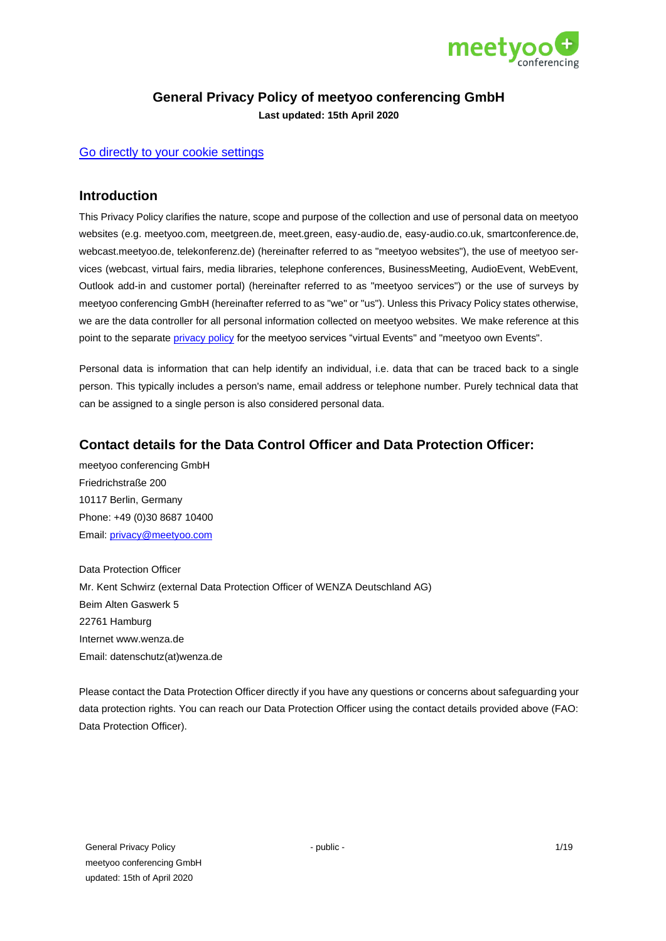

# **General Privacy Policy of meetyoo conferencing GmbH**

**Last updated: 15th April 2020**

## [Go directly to your cookie settings](https://meetyoo.com/en/)

# **Introduction**

This Privacy Policy clarifies the nature, scope and purpose of the collection and use of personal data on meetyoo websites (e.g. meetyoo.com, meetgreen.de, meet.green, easy-audio.de, easy-audio.co.uk, smartconference.de, webcast.meetyoo.de, telekonferenz.de) (hereinafter referred to as "meetyoo websites"), the use of meetyoo services (webcast, virtual fairs, media libraries, telephone conferences, BusinessMeeting, AudioEvent, WebEvent, Outlook add-in and customer portal) (hereinafter referred to as "meetyoo services") or the use of surveys by meetyoo conferencing GmbH (hereinafter referred to as "we" or "us"). Unless this Privacy Policy states otherwise, we are the data controller for all personal information collected on meetyoo websites. We make reference at this point to the separate [privacy policy](https://meetyoo.com/en/data-security/) for the meetyoo services "virtual Events" and "meetyoo own Events".

Personal data is information that can help identify an individual, i.e. data that can be traced back to a single person. This typically includes a person's name, email address or telephone number. Purely technical data that can be assigned to a single person is also considered personal data.

# **Contact details for the Data Control Officer and Data Protection Officer:**

meetyoo conferencing GmbH Friedrichstraße 200 10117 Berlin, Germany Phone: +49 (0)30 8687 10400 Email: [privacy@meetyoo.com](mailto:privacy@meetyoo.com)

Data Protection Officer Mr. Kent Schwirz (external Data Protection Officer of WENZA Deutschland AG) Beim Alten Gaswerk 5 22761 Hamburg Internet www.wenza.de Email: datenschutz(at)wenza.de

Please contact the Data Protection Officer directly if you have any questions or concerns about safeguarding your data protection rights. You can reach our Data Protection Officer using the contact details provided above (FAO: Data Protection Officer).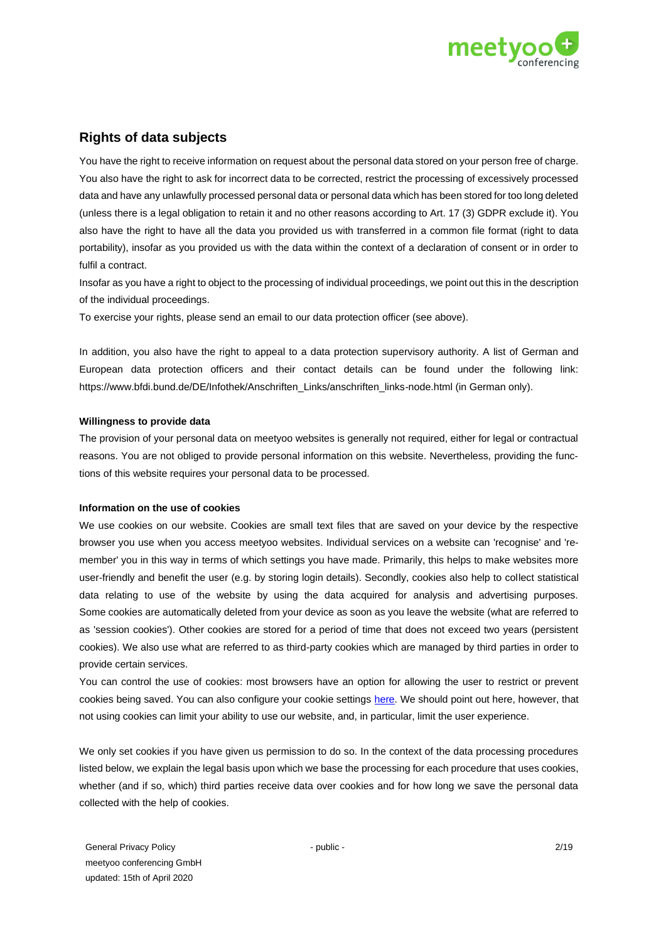

# **Rights of data subjects**

You have the right to receive information on request about the personal data stored on your person free of charge. You also have the right to ask for incorrect data to be corrected, restrict the processing of excessively processed data and have any unlawfully processed personal data or personal data which has been stored for too long deleted (unless there is a legal obligation to retain it and no other reasons according to Art. 17 (3) GDPR exclude it). You also have the right to have all the data you provided us with transferred in a common file format (right to data portability), insofar as you provided us with the data within the context of a declaration of consent or in order to fulfil a contract.

Insofar as you have a right to object to the processing of individual proceedings, we point out this in the description of the individual proceedings.

To exercise your rights, please send an email to our data protection officer (see above).

In addition, you also have the right to appeal to a data protection supervisory authority. A list of German and European data protection officers and their contact details can be found under the following link: https://www.bfdi.bund.de/DE/Infothek/Anschriften\_Links/anschriften\_links-node.html (in German only).

### **Willingness to provide data**

The provision of your personal data on meetyoo websites is generally not required, either for legal or contractual reasons. You are not obliged to provide personal information on this website. Nevertheless, providing the functions of this website requires your personal data to be processed.

#### **Information on the use of cookies**

We use cookies on our website. Cookies are small text files that are saved on your device by the respective browser you use when you access meetyoo websites. Individual services on a website can 'recognise' and 'remember' you in this way in terms of which settings you have made. Primarily, this helps to make websites more user-friendly and benefit the user (e.g. by storing login details). Secondly, cookies also help to collect statistical data relating to use of the website by using the data acquired for analysis and advertising purposes. Some cookies are automatically deleted from your device as soon as you leave the website (what are referred to as 'session cookies'). Other cookies are stored for a period of time that does not exceed two years (persistent cookies). We also use what are referred to as third-party cookies which are managed by third parties in order to provide certain services.

You can control the use of cookies: most browsers have an option for allowing the user to restrict or prevent cookies being saved. You can also configure your cookie settings [here.](https://meetyoo.com/en/) We should point out here, however, that not using cookies can limit your ability to use our website, and, in particular, limit the user experience.

We only set cookies if you have given us permission to do so. In the context of the data processing procedures listed below, we explain the legal basis upon which we base the processing for each procedure that uses cookies, whether (and if so, which) third parties receive data over cookies and for how long we save the personal data collected with the help of cookies.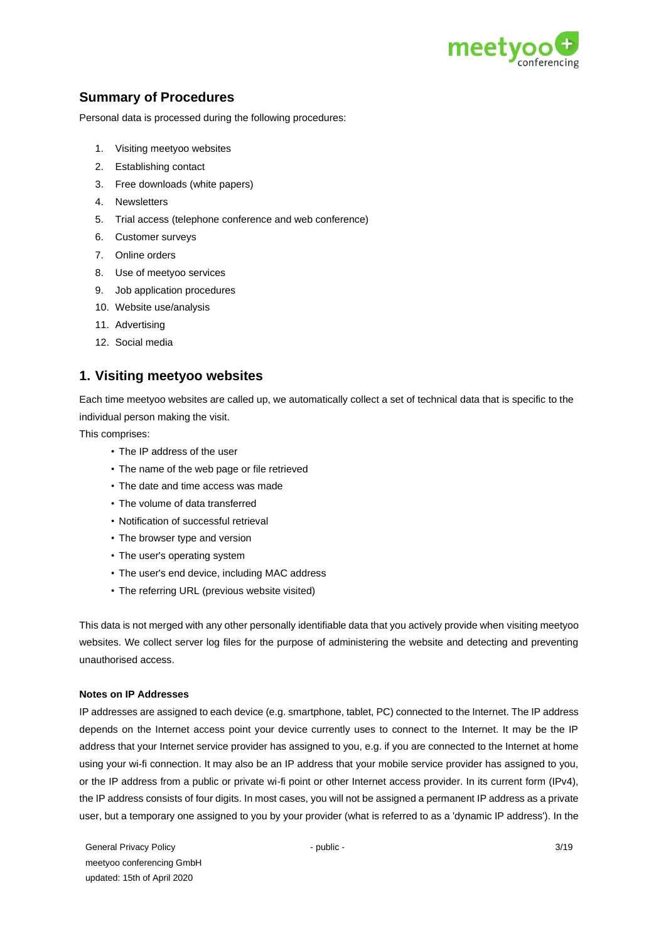

# **Summary of Procedures**

Personal data is processed during the following procedures:

- 1. Visiting meetyoo websites
- 2. Establishing contact
- 3. Free downloads (white papers)
- 4. Newsletters
- 5. Trial access (telephone conference and web conference)
- 6. Customer surveys
- 7. Online orders
- 8. Use of meetyoo services
- 9. Job application procedures
- 10. Website use/analysis
- 11. Advertising
- 12. Social media

# **1. Visiting meetyoo websites**

Each time meetyoo websites are called up, we automatically collect a set of technical data that is specific to the individual person making the visit.

This comprises:

- The IP address of the user
- The name of the web page or file retrieved
- The date and time access was made
- The volume of data transferred
- Notification of successful retrieval
- The browser type and version
- The user's operating system
- The user's end device, including MAC address
- The referring URL (previous website visited)

This data is not merged with any other personally identifiable data that you actively provide when visiting meetyoo websites. We collect server log files for the purpose of administering the website and detecting and preventing unauthorised access.

## **Notes on IP Addresses**

IP addresses are assigned to each device (e.g. smartphone, tablet, PC) connected to the Internet. The IP address depends on the Internet access point your device currently uses to connect to the Internet. It may be the IP address that your Internet service provider has assigned to you, e.g. if you are connected to the Internet at home using your wi-fi connection. It may also be an IP address that your mobile service provider has assigned to you, or the IP address from a public or private wi-fi point or other Internet access provider. In its current form (IPv4), the IP address consists of four digits. In most cases, you will not be assigned a permanent IP address as a private user, but a temporary one assigned to you by your provider (what is referred to as a 'dynamic IP address'). In the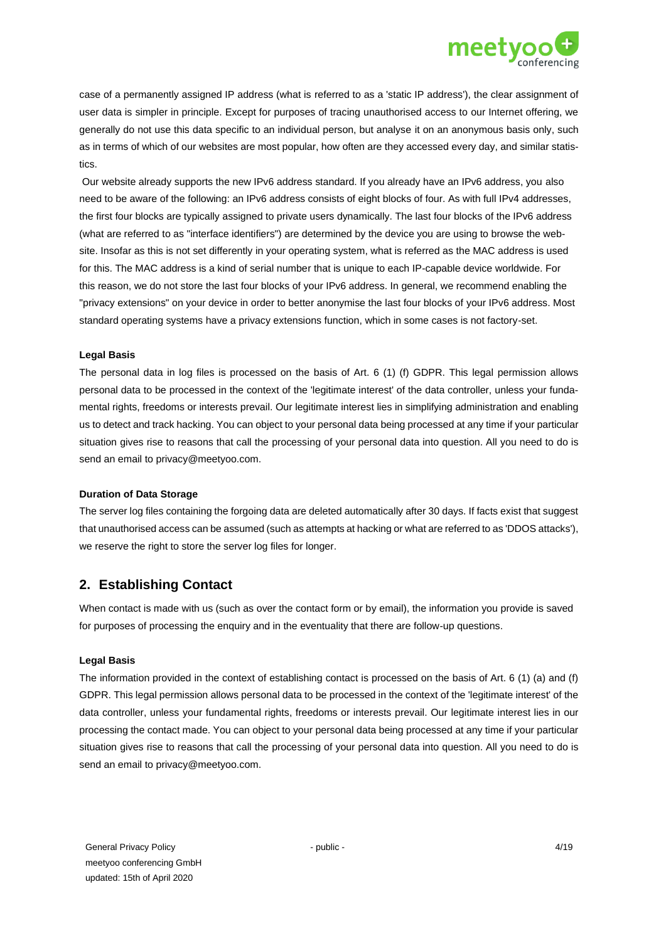

case of a permanently assigned IP address (what is referred to as a 'static IP address'), the clear assignment of user data is simpler in principle. Except for purposes of tracing unauthorised access to our Internet offering, we generally do not use this data specific to an individual person, but analyse it on an anonymous basis only, such as in terms of which of our websites are most popular, how often are they accessed every day, and similar statistics.

Our website already supports the new IPv6 address standard. If you already have an IPv6 address, you also need to be aware of the following: an IPv6 address consists of eight blocks of four. As with full IPv4 addresses, the first four blocks are typically assigned to private users dynamically. The last four blocks of the IPv6 address (what are referred to as "interface identifiers") are determined by the device you are using to browse the website. Insofar as this is not set differently in your operating system, what is referred as the MAC address is used for this. The MAC address is a kind of serial number that is unique to each IP-capable device worldwide. For this reason, we do not store the last four blocks of your IPv6 address. In general, we recommend enabling the "privacy extensions" on your device in order to better anonymise the last four blocks of your IPv6 address. Most standard operating systems have a privacy extensions function, which in some cases is not factory-set.

#### **Legal Basis**

The personal data in log files is processed on the basis of Art. 6 (1) (f) GDPR. This legal permission allows personal data to be processed in the context of the 'legitimate interest' of the data controller, unless your fundamental rights, freedoms or interests prevail. Our legitimate interest lies in simplifying administration and enabling us to detect and track hacking. You can object to your personal data being processed at any time if your particular situation gives rise to reasons that call the processing of your personal data into question. All you need to do is send an email to privacy@meetyoo.com.

#### **Duration of Data Storage**

The server log files containing the forgoing data are deleted automatically after 30 days. If facts exist that suggest that unauthorised access can be assumed (such as attempts at hacking or what are referred to as 'DDOS attacks'), we reserve the right to store the server log files for longer.

## **2. Establishing Contact**

When contact is made with us (such as over the contact form or by email), the information you provide is saved for purposes of processing the enquiry and in the eventuality that there are follow-up questions.

#### **Legal Basis**

The information provided in the context of establishing contact is processed on the basis of Art. 6 (1) (a) and (f) GDPR. This legal permission allows personal data to be processed in the context of the 'legitimate interest' of the data controller, unless your fundamental rights, freedoms or interests prevail. Our legitimate interest lies in our processing the contact made. You can object to your personal data being processed at any time if your particular situation gives rise to reasons that call the processing of your personal data into question. All you need to do is send an email to privacy@meetyoo.com.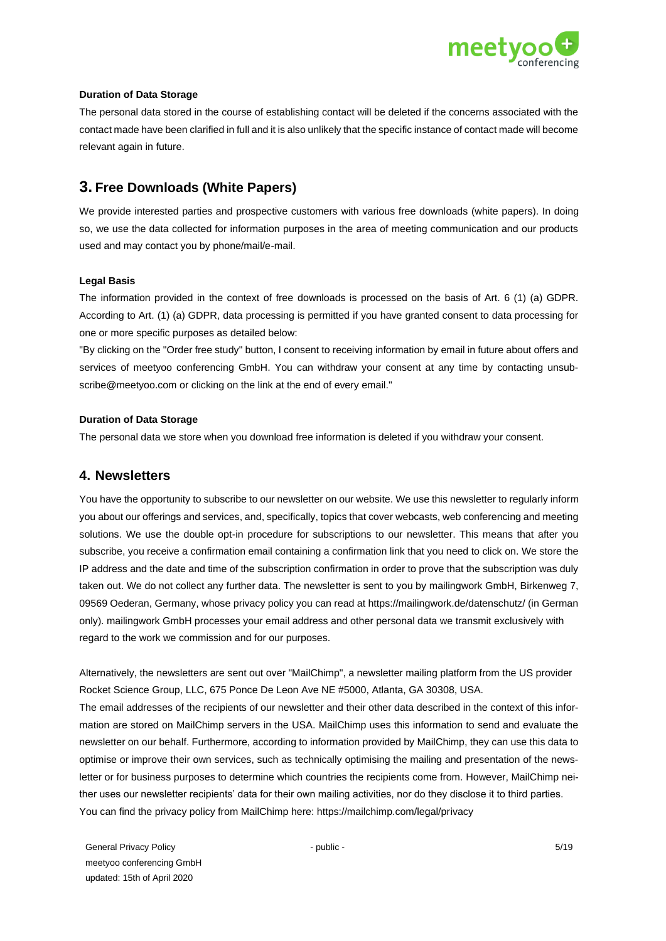

### **Duration of Data Storage**

The personal data stored in the course of establishing contact will be deleted if the concerns associated with the contact made have been clarified in full and it is also unlikely that the specific instance of contact made will become relevant again in future.

# **3. Free Downloads (White Papers)**

We provide interested parties and prospective customers with various free downloads (white papers). In doing so, we use the data collected for information purposes in the area of meeting communication and our products used and may contact you by phone/mail/e-mail.

### **Legal Basis**

The information provided in the context of free downloads is processed on the basis of Art. 6 (1) (a) GDPR. According to Art. (1) (a) GDPR, data processing is permitted if you have granted consent to data processing for one or more specific purposes as detailed below:

"By clicking on the "Order free study" button, I consent to receiving information by email in future about offers and services of meetyoo conferencing GmbH. You can withdraw your consent at any time by contacting unsubscribe@meetyoo.com or clicking on the link at the end of every email."

### **Duration of Data Storage**

The personal data we store when you download free information is deleted if you withdraw your consent.

## **4. Newsletters**

You have the opportunity to subscribe to our newsletter on our website. We use this newsletter to regularly inform you about our offerings and services, and, specifically, topics that cover webcasts, web conferencing and meeting solutions. We use the double opt-in procedure for subscriptions to our newsletter. This means that after you subscribe, you receive a confirmation email containing a confirmation link that you need to click on. We store the IP address and the date and time of the subscription confirmation in order to prove that the subscription was duly taken out. We do not collect any further data. The newsletter is sent to you by mailingwork GmbH, Birkenweg 7, 09569 Oederan, Germany, whose privacy policy you can read at https://mailingwork.de/datenschutz/ (in German only). mailingwork GmbH processes your email address and other personal data we transmit exclusively with regard to the work we commission and for our purposes.

Alternatively, the newsletters are sent out over "MailChimp", a newsletter mailing platform from the US provider Rocket Science Group, LLC, 675 Ponce De Leon Ave NE #5000, Atlanta, GA 30308, USA. The email addresses of the recipients of our newsletter and their other data described in the context of this information are stored on MailChimp servers in the USA. MailChimp uses this information to send and evaluate the newsletter on our behalf. Furthermore, according to information provided by MailChimp, they can use this data to optimise or improve their own services, such as technically optimising the mailing and presentation of the newsletter or for business purposes to determine which countries the recipients come from. However, MailChimp neither uses our newsletter recipients' data for their own mailing activities, nor do they disclose it to third parties. You can find the privacy policy from MailChimp here: https://mailchimp.com/legal/privacy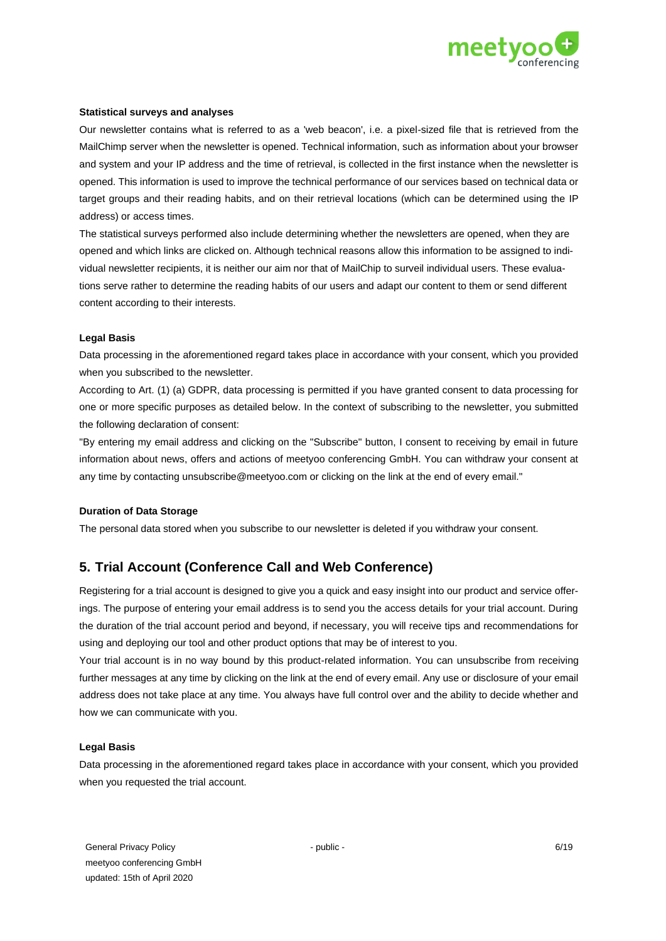

### **Statistical surveys and analyses**

Our newsletter contains what is referred to as a 'web beacon', i.e. a pixel-sized file that is retrieved from the MailChimp server when the newsletter is opened. Technical information, such as information about your browser and system and your IP address and the time of retrieval, is collected in the first instance when the newsletter is opened. This information is used to improve the technical performance of our services based on technical data or target groups and their reading habits, and on their retrieval locations (which can be determined using the IP address) or access times.

The statistical surveys performed also include determining whether the newsletters are opened, when they are opened and which links are clicked on. Although technical reasons allow this information to be assigned to individual newsletter recipients, it is neither our aim nor that of MailChip to surveil individual users. These evaluations serve rather to determine the reading habits of our users and adapt our content to them or send different content according to their interests.

#### **Legal Basis**

Data processing in the aforementioned regard takes place in accordance with your consent, which you provided when you subscribed to the newsletter.

According to Art. (1) (a) GDPR, data processing is permitted if you have granted consent to data processing for one or more specific purposes as detailed below. In the context of subscribing to the newsletter, you submitted the following declaration of consent:

"By entering my email address and clicking on the "Subscribe" button, I consent to receiving by email in future information about news, offers and actions of meetyoo conferencing GmbH. You can withdraw your consent at any time by contacting unsubscribe@meetyoo.com or clicking on the link at the end of every email."

## **Duration of Data Storage**

The personal data stored when you subscribe to our newsletter is deleted if you withdraw your consent.

# **5. Trial Account (Conference Call and Web Conference)**

Registering for a trial account is designed to give you a quick and easy insight into our product and service offerings. The purpose of entering your email address is to send you the access details for your trial account. During the duration of the trial account period and beyond, if necessary, you will receive tips and recommendations for using and deploying our tool and other product options that may be of interest to you.

Your trial account is in no way bound by this product-related information. You can unsubscribe from receiving further messages at any time by clicking on the link at the end of every email. Any use or disclosure of your email address does not take place at any time. You always have full control over and the ability to decide whether and how we can communicate with you.

#### **Legal Basis**

Data processing in the aforementioned regard takes place in accordance with your consent, which you provided when you requested the trial account.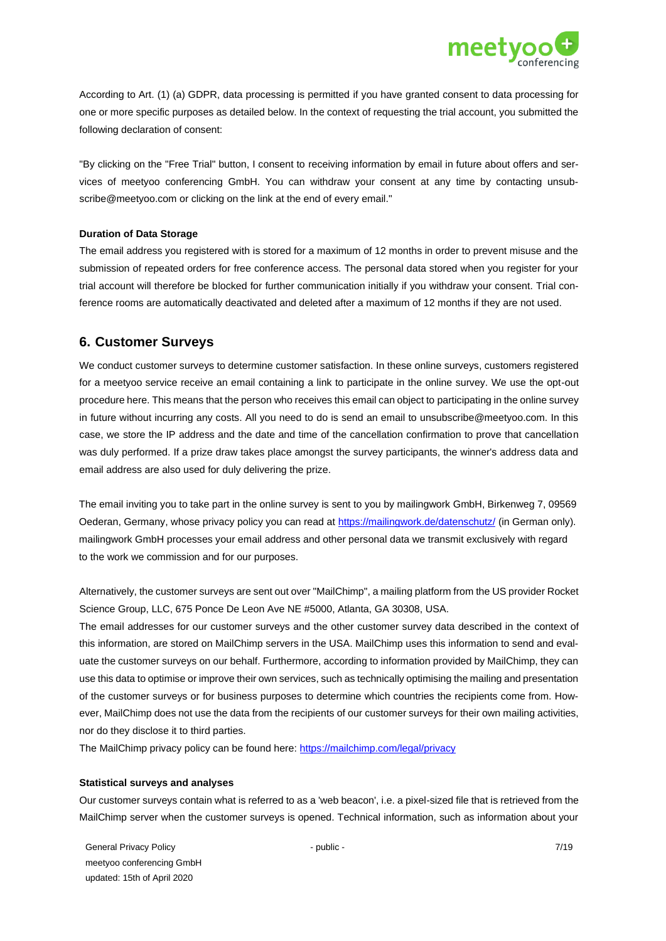

According to Art. (1) (a) GDPR, data processing is permitted if you have granted consent to data processing for one or more specific purposes as detailed below. In the context of requesting the trial account, you submitted the following declaration of consent:

"By clicking on the "Free Trial" button, I consent to receiving information by email in future about offers and services of meetyoo conferencing GmbH. You can withdraw your consent at any time by contacting unsubscribe@meetyoo.com or clicking on the link at the end of every email."

#### **Duration of Data Storage**

The email address you registered with is stored for a maximum of 12 months in order to prevent misuse and the submission of repeated orders for free conference access. The personal data stored when you register for your trial account will therefore be blocked for further communication initially if you withdraw your consent. Trial conference rooms are automatically deactivated and deleted after a maximum of 12 months if they are not used.

## **6. Customer Surveys**

We conduct customer surveys to determine customer satisfaction. In these online surveys, customers registered for a meetyoo service receive an email containing a link to participate in the online survey. We use the opt-out procedure here. This means that the person who receives this email can object to participating in the online survey in future without incurring any costs. All you need to do is send an email to unsubscribe@meetyoo.com. In this case, we store the IP address and the date and time of the cancellation confirmation to prove that cancellation was duly performed. If a prize draw takes place amongst the survey participants, the winner's address data and email address are also used for duly delivering the prize.

The email inviting you to take part in the online survey is sent to you by mailingwork GmbH, Birkenweg 7, 09569 Oederan, Germany, whose privacy policy you can read at<https://mailingwork.de/datenschutz/> [\(](https://mailingwork.de/datenschutz/)in German only). mailingwork GmbH processes your email address and other personal data we transmit exclusively with regard to the work we commission and for our purposes.

Alternatively, the customer surveys are sent out over "MailChimp", a mailing platform from the US provider Rocket Science Group, LLC, 675 Ponce De Leon Ave NE #5000, Atlanta, GA 30308, USA.

The email addresses for our customer surveys and the other customer survey data described in the context of this information, are stored on MailChimp servers in the USA. MailChimp uses this information to send and evaluate the customer surveys on our behalf. Furthermore, according to information provided by MailChimp, they can use this data to optimise or improve their own services, such as technically optimising the mailing and presentation of the customer surveys or for business purposes to determine which countries the recipients come from. However, MailChimp does not use the data from the recipients of our customer surveys for their own mailing activities, nor do they disclose it to third parties.

The MailChimp privacy policy can be found here:<https://mailchimp.com/legal/privacy>

#### **Statistical surveys and analyses**

Our customer surveys contain what is referred to as a 'web beacon', i.e. a pixel-sized file that is retrieved from the MailChimp server when the customer surveys is opened. Technical information, such as information about your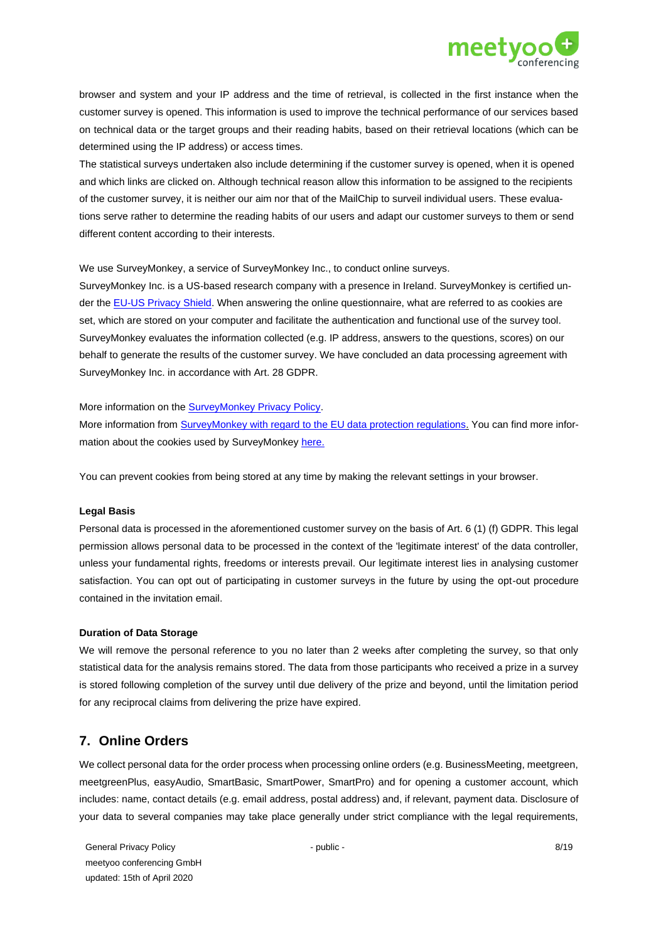

browser and system and your IP address and the time of retrieval, is collected in the first instance when the customer survey is opened. This information is used to improve the technical performance of our services based on technical data or the target groups and their reading habits, based on their retrieval locations (which can be determined using the IP address) or access times.

The statistical surveys undertaken also include determining if the customer survey is opened, when it is opened and which links are clicked on. Although technical reason allow this information to be assigned to the recipients of the customer survey, it is neither our aim nor that of the MailChip to surveil individual users. These evaluations serve rather to determine the reading habits of our users and adapt our customer surveys to them or send different content according to their interests.

We use SurveyMonkey, a service of SurveyMonkey Inc., to conduct online surveys.

SurveyMonkey Inc. is a US-based research company with a presence in Ireland. SurveyMonkey is certified under th[e EU-US Privacy Shield.](https://www.privacyshield.gov/list) When answering the online questionnaire, what are referred to as cookies are set, which are stored on your computer and facilitate the authentication and functional use of the survey tool. SurveyMonkey evaluates the information collected (e.g. IP address, answers to the questions, scores) on our behalf to generate the results of the customer survey. We have concluded an data processing agreement with SurveyMonkey Inc. in accordance with Art. 28 GDPR.

More information on the [SurveyMonkey Privacy Policy.](https://www.surveymonkey.com/mp/legal/privacy-policy/?ut_source=footer)

More information from SurveyMonkey [with regard to the EU data protection regulations.](https://www.surveymonkey.com/mp/legal/privacy-policy/?ut_source=footer) You can find more information about the cookies used by SurveyMonkey [here](https://www.surveymonkey.com/mp/legal/privacy-policy/?ut_source=footer#pp-section-6)[.](https://www.surveymonkey.de/mp/legal/survey-page-cookies/)

You can prevent cookies from being stored at any time by making the relevant settings in your browser.

#### **Legal Basis**

Personal data is processed in the aforementioned customer survey on the basis of Art. 6 (1) (f) GDPR. This legal permission allows personal data to be processed in the context of the 'legitimate interest' of the data controller, unless your fundamental rights, freedoms or interests prevail. Our legitimate interest lies in analysing customer satisfaction. You can opt out of participating in customer surveys in the future by using the opt-out procedure contained in the invitation email.

#### **Duration of Data Storage**

We will remove the personal reference to you no later than 2 weeks after completing the survey, so that only statistical data for the analysis remains stored. The data from those participants who received a prize in a survey is stored following completion of the survey until due delivery of the prize and beyond, until the limitation period for any reciprocal claims from delivering the prize have expired.

# **7. Online Orders**

We collect personal data for the order process when processing online orders (e.g. BusinessMeeting, meetgreen, meetgreenPlus, easyAudio, SmartBasic, SmartPower, SmartPro) and for opening a customer account, which includes: name, contact details (e.g. email address, postal address) and, if relevant, payment data. Disclosure of your data to several companies may take place generally under strict compliance with the legal requirements,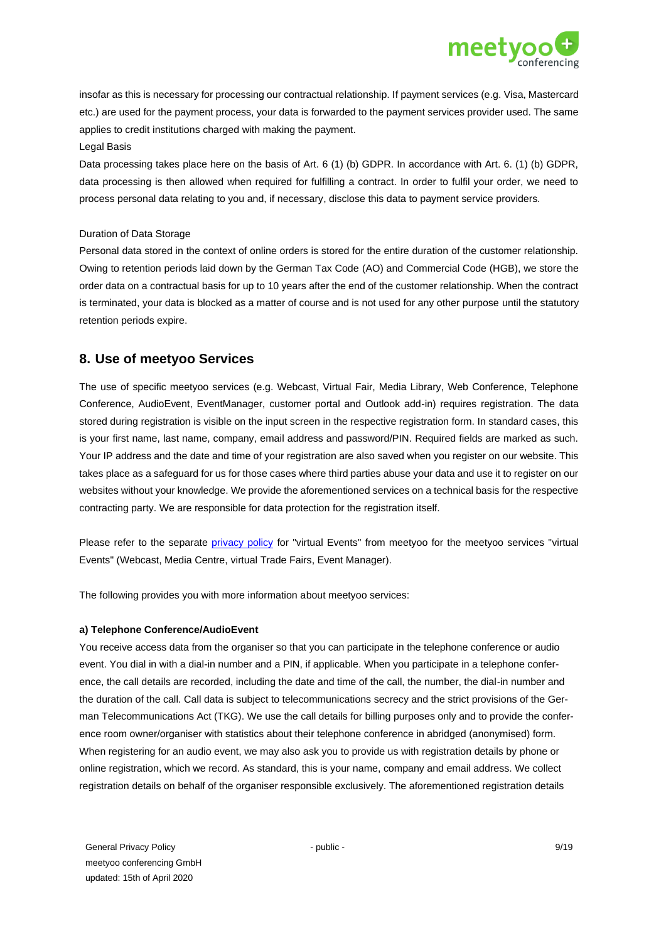

insofar as this is necessary for processing our contractual relationship. If payment services (e.g. Visa, Mastercard etc.) are used for the payment process, your data is forwarded to the payment services provider used. The same applies to credit institutions charged with making the payment.

#### Legal Basis

Data processing takes place here on the basis of Art. 6 (1) (b) GDPR. In accordance with Art. 6. (1) (b) GDPR, data processing is then allowed when required for fulfilling a contract. In order to fulfil your order, we need to process personal data relating to you and, if necessary, disclose this data to payment service providers.

#### Duration of Data Storage

Personal data stored in the context of online orders is stored for the entire duration of the customer relationship. Owing to retention periods laid down by the German Tax Code (AO) and Commercial Code (HGB), we store the order data on a contractual basis for up to 10 years after the end of the customer relationship. When the contract is terminated, your data is blocked as a matter of course and is not used for any other purpose until the statutory retention periods expire.

## **8. Use of meetyoo Services**

The use of specific meetyoo services (e.g. Webcast, Virtual Fair, Media Library, Web Conference, Telephone Conference, AudioEvent, EventManager, customer portal and Outlook add-in) requires registration. The data stored during registration is visible on the input screen in the respective registration form. In standard cases, this is your first name, last name, company, email address and password/PIN. Required fields are marked as such. Your IP address and the date and time of your registration are also saved when you register on our website. This takes place as a safeguard for us for those cases where third parties abuse your data and use it to register on our websites without your knowledge. We provide the aforementioned services on a technical basis for the respective contracting party. We are responsible for data protection for the registration itself.

Please refer to the separate [privacy policy](https://meetyoo.com/en/data-security/) for "virtual Events" from meetyoo for the meetyoo services "virtual Events" (Webcast, Media Centre, virtual Trade Fairs, Event Manager).

The following provides you with more information about meetyoo services:

#### **a) Telephone Conference/AudioEvent**

You receive access data from the organiser so that you can participate in the telephone conference or audio event. You dial in with a dial-in number and a PIN, if applicable. When you participate in a telephone conference, the call details are recorded, including the date and time of the call, the number, the dial-in number and the duration of the call. Call data is subject to telecommunications secrecy and the strict provisions of the German Telecommunications Act (TKG). We use the call details for billing purposes only and to provide the conference room owner/organiser with statistics about their telephone conference in abridged (anonymised) form. When registering for an audio event, we may also ask you to provide us with registration details by phone or online registration, which we record. As standard, this is your name, company and email address. We collect registration details on behalf of the organiser responsible exclusively. The aforementioned registration details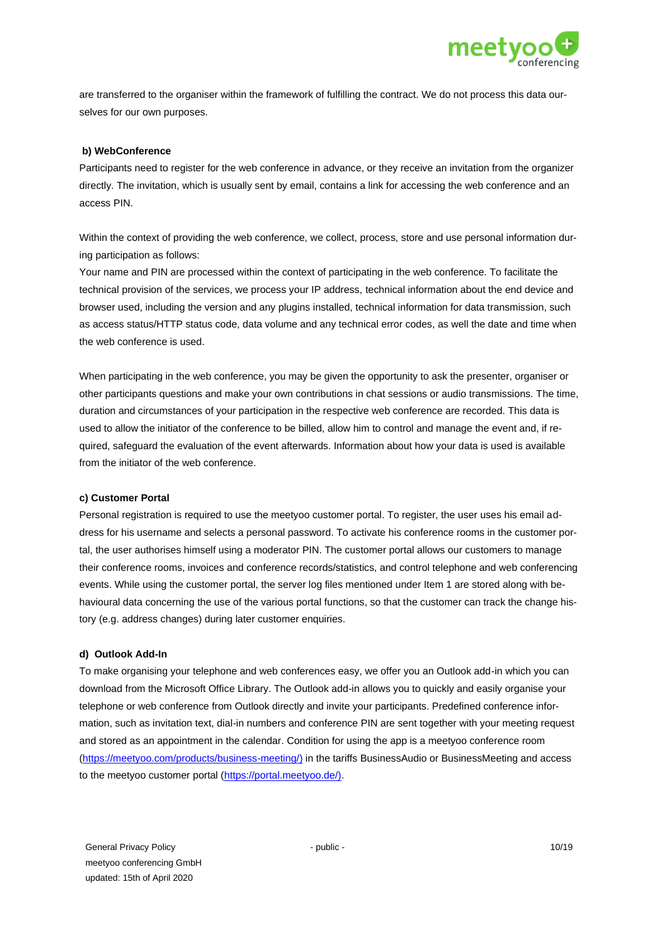

are transferred to the organiser within the framework of fulfilling the contract. We do not process this data ourselves for our own purposes.

#### **b) WebConference**

Participants need to register for the web conference in advance, or they receive an invitation from the organizer directly. The invitation, which is usually sent by email, contains a link for accessing the web conference and an access PIN.

Within the context of providing the web conference, we collect, process, store and use personal information during participation as follows:

Your name and PIN are processed within the context of participating in the web conference. To facilitate the technical provision of the services, we process your IP address, technical information about the end device and browser used, including the version and any plugins installed, technical information for data transmission, such as access status/HTTP status code, data volume and any technical error codes, as well the date and time when the web conference is used.

When participating in the web conference, you may be given the opportunity to ask the presenter, organiser or other participants questions and make your own contributions in chat sessions or audio transmissions. The time, duration and circumstances of your participation in the respective web conference are recorded. This data is used to allow the initiator of the conference to be billed, allow him to control and manage the event and, if required, safeguard the evaluation of the event afterwards. Information about how your data is used is available from the initiator of the web conference.

#### **c) Customer Portal**

Personal registration is required to use the meetyoo customer portal. To register, the user uses his email address for his username and selects a personal password. To activate his conference rooms in the customer portal, the user authorises himself using a moderator PIN. The customer portal allows our customers to manage their conference rooms, invoices and conference records/statistics, and control telephone and web conferencing events. While using the customer portal, the server log files mentioned under Item 1 are stored along with behavioural data concerning the use of the various portal functions, so that the customer can track the change history (e.g. address changes) during later customer enquiries.

#### **d) Outlook Add-In**

To make organising your telephone and web conferences easy, we offer you an Outlook add-in which you can download from the Microsoft Office Library. The Outlook add-in allows you to quickly and easily organise your telephone or web conference from Outlook directly and invite your participants. Predefined conference information, such as invitation text, dial-in numbers and conference PIN are sent together with your meeting request and stored as an appointment in the calendar. Condition for using the app is a meetyoo conference room [\(https://meetyoo.com/products/business-](https://meetyoo.de/produkte/business-meeting/)[meeting/](https://meetyoo.com/products/business-meeting/)[\)](https://meetyoo.de/produkte/business-meeting/) in the tariffs BusinessAudio or BusinessMeeting and access to the meetyoo customer portal [\(https://portal.meetyoo.de/\).](https://portal.meetyoo.de/)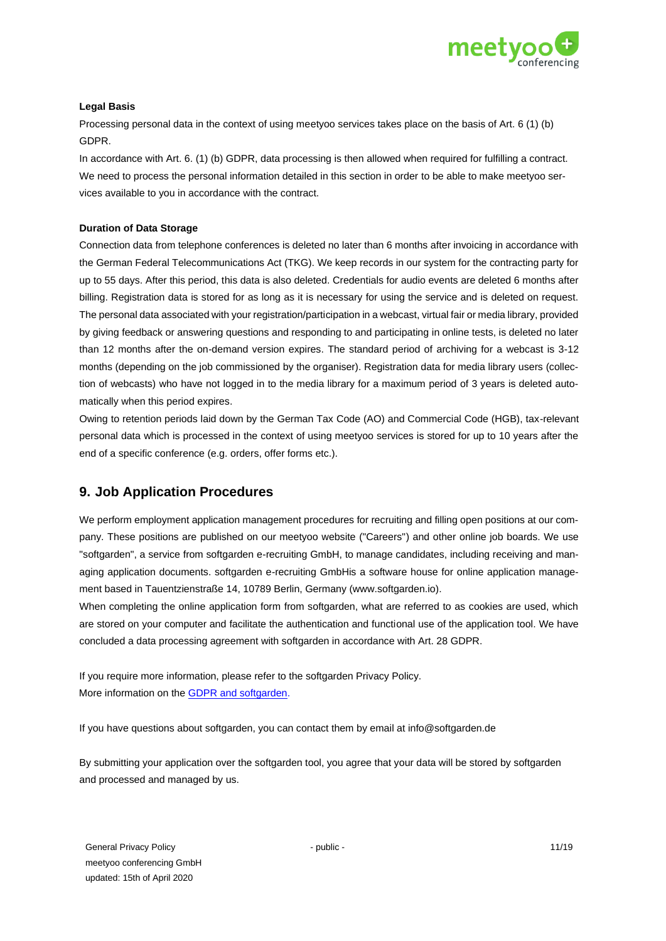

## **Legal Basis**

Processing personal data in the context of using meetyoo services takes place on the basis of Art. 6 (1) (b) GDPR.

In accordance with Art. 6. (1) (b) GDPR, data processing is then allowed when required for fulfilling a contract. We need to process the personal information detailed in this section in order to be able to make meetyoo services available to you in accordance with the contract.

## **Duration of Data Storage**

Connection data from telephone conferences is deleted no later than 6 months after invoicing in accordance with the German Federal Telecommunications Act (TKG). We keep records in our system for the contracting party for up to 55 days. After this period, this data is also deleted. Credentials for audio events are deleted 6 months after billing. Registration data is stored for as long as it is necessary for using the service and is deleted on request. The personal data associated with your registration/participation in a webcast, virtual fair or media library, provided by giving feedback or answering questions and responding to and participating in online tests, is deleted no later than 12 months after the on-demand version expires. The standard period of archiving for a webcast is 3-12 months (depending on the job commissioned by the organiser). Registration data for media library users (collection of webcasts) who have not logged in to the media library for a maximum period of 3 years is deleted automatically when this period expires.

Owing to retention periods laid down by the German Tax Code (AO) and Commercial Code (HGB), tax-relevant personal data which is processed in the context of using meetyoo services is stored for up to 10 years after the end of a specific conference (e.g. orders, offer forms etc.).

# **9. Job Application Procedures**

We perform employment application management procedures for recruiting and filling open positions at our company. These positions are published on our meetyoo website ("Careers") and other online job boards. We use "softgarden", a service from softgarden e-recruiting GmbH, to manage candidates, including receiving and managing application documents. softgarden e-recruiting GmbHis a software house for online application management based in Tauentzienstraße 14, 10789 Berlin, Germany (www.softgarden.io).

When completing the online application form from softgarden, what are referred to as cookies are used, which are stored on your computer and facilitate the authentication and functional use of the application tool. We have concluded a data processing agreement with softgarden in accordance with Art. 28 GDPR.

If you require more information, please refer to the softgarden Privacy Policy. More information on the [GDPR and softgarden](https://www.softgarden.io/company/privacy-website/)[.](https://prescreen.io/de/dsgvo-recruiting-fragen-antworten/)

If you have questions about softgarden, you can contact them by email at info@softgarden.de

By submitting your application over the softgarden tool, you agree that your data will be stored by softgarden and processed and managed by us.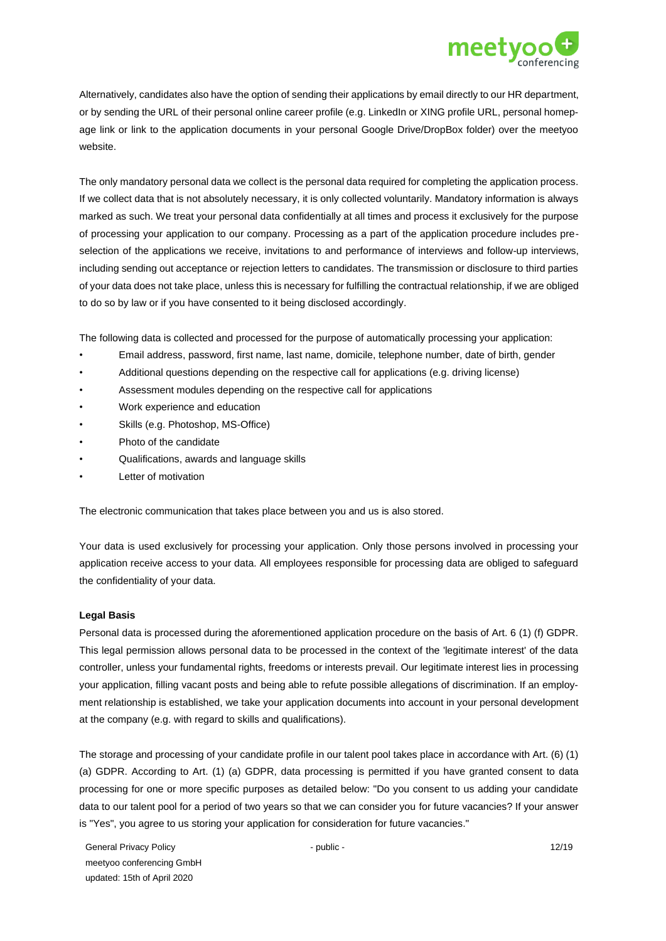

Alternatively, candidates also have the option of sending their applications by email directly to our HR department, or by sending the URL of their personal online career profile (e.g. LinkedIn or XING profile URL, personal homepage link or link to the application documents in your personal Google Drive/DropBox folder) over the meetyoo website.

The only mandatory personal data we collect is the personal data required for completing the application process. If we collect data that is not absolutely necessary, it is only collected voluntarily. Mandatory information is always marked as such. We treat your personal data confidentially at all times and process it exclusively for the purpose of processing your application to our company. Processing as a part of the application procedure includes preselection of the applications we receive, invitations to and performance of interviews and follow-up interviews, including sending out acceptance or rejection letters to candidates. The transmission or disclosure to third parties of your data does not take place, unless this is necessary for fulfilling the contractual relationship, if we are obliged to do so by law or if you have consented to it being disclosed accordingly.

The following data is collected and processed for the purpose of automatically processing your application:

- Email address, password, first name, last name, domicile, telephone number, date of birth, gender
- Additional questions depending on the respective call for applications (e.g. driving license)
- Assessment modules depending on the respective call for applications
- Work experience and education
- Skills (e.g. Photoshop, MS-Office)
- Photo of the candidate
- Qualifications, awards and language skills
- Letter of motivation

The electronic communication that takes place between you and us is also stored.

Your data is used exclusively for processing your application. Only those persons involved in processing your application receive access to your data. All employees responsible for processing data are obliged to safeguard the confidentiality of your data.

#### **Legal Basis**

Personal data is processed during the aforementioned application procedure on the basis of Art. 6 (1) (f) GDPR. This legal permission allows personal data to be processed in the context of the 'legitimate interest' of the data controller, unless your fundamental rights, freedoms or interests prevail. Our legitimate interest lies in processing your application, filling vacant posts and being able to refute possible allegations of discrimination. If an employment relationship is established, we take your application documents into account in your personal development at the company (e.g. with regard to skills and qualifications).

The storage and processing of your candidate profile in our talent pool takes place in accordance with Art. (6) (1) (a) GDPR. According to Art. (1) (a) GDPR, data processing is permitted if you have granted consent to data processing for one or more specific purposes as detailed below: "Do you consent to us adding your candidate data to our talent pool for a period of two years so that we can consider you for future vacancies? If your answer is "Yes", you agree to us storing your application for consideration for future vacancies."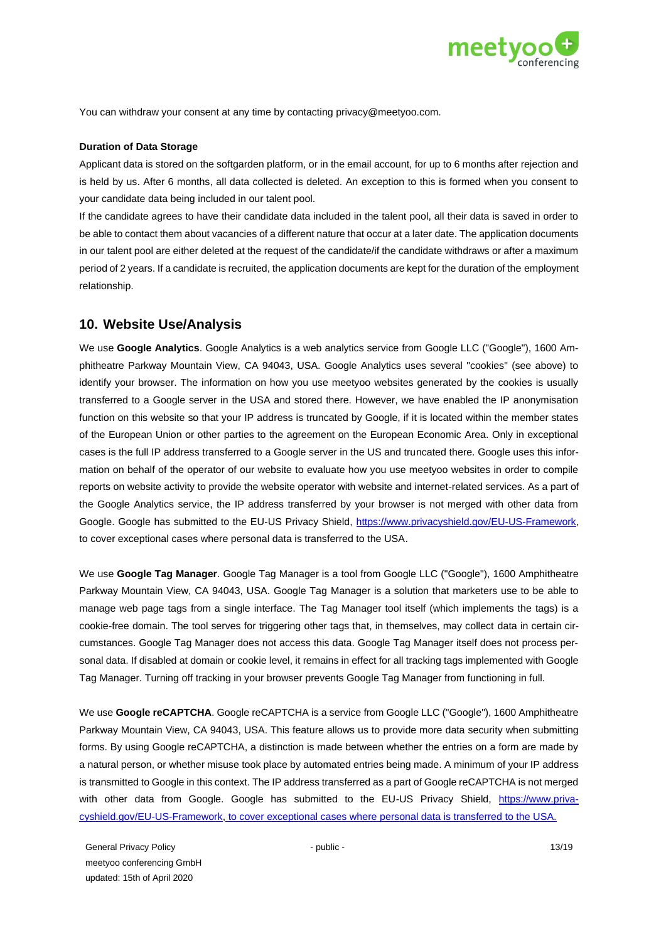

You can withdraw your consent at any time by contacting privacy@meetyoo.com.

#### **Duration of Data Storage**

Applicant data is stored on the softgarden platform, or in the email account, for up to 6 months after rejection and is held by us. After 6 months, all data collected is deleted. An exception to this is formed when you consent to your candidate data being included in our talent pool.

If the candidate agrees to have their candidate data included in the talent pool, all their data is saved in order to be able to contact them about vacancies of a different nature that occur at a later date. The application documents in our talent pool are either deleted at the request of the candidate/if the candidate withdraws or after a maximum period of 2 years. If a candidate is recruited, the application documents are kept for the duration of the employment relationship.

# **10. Website Use/Analysis**

We use **Google Analytics**. Google Analytics is a web analytics service from Google LLC ("Google"), 1600 Amphitheatre Parkway Mountain View, CA 94043, USA. Google Analytics uses several "cookies" (see above) to identify your browser. The information on how you use meetyoo websites generated by the cookies is usually transferred to a Google server in the USA and stored there. However, we have enabled the IP anonymisation function on this website so that your IP address is truncated by Google, if it is located within the member states of the European Union or other parties to the agreement on the European Economic Area. Only in exceptional cases is the full IP address transferred to a Google server in the US and truncated there. Google uses this information on behalf of the operator of our website to evaluate how you use meetyoo websites in order to compile reports on website activity to provide the website operator with website and internet-related services. As a part of the Google Analytics service, the IP address transferred by your browser is not merged with other data from Google. Google has submitted to the EU-US Privacy Shield, [https://www.privacyshield.gov/EU-US-Framework,](https://www.privacyshield.gov/EU-US-Framework) to cover exceptional cases where personal data is transferred to the USA.

We use **Google Tag Manager**. Google Tag Manager is a tool from Google LLC ("Google"), 1600 Amphitheatre Parkway Mountain View, CA 94043, USA. Google Tag Manager is a solution that marketers use to be able to manage web page tags from a single interface. The Tag Manager tool itself (which implements the tags) is a cookie-free domain. The tool serves for triggering other tags that, in themselves, may collect data in certain circumstances. Google Tag Manager does not access this data. Google Tag Manager itself does not process personal data. If disabled at domain or cookie level, it remains in effect for all tracking tags implemented with Google Tag Manager. Turning off tracking in your browser prevents Google Tag Manager from functioning in full.

We use **Google reCAPTCHA**. Google reCAPTCHA is a service from Google LLC ("Google"), 1600 Amphitheatre Parkway Mountain View, CA 94043, USA. This feature allows us to provide more data security when submitting forms. By using Google reCAPTCHA, a distinction is made between whether the entries on a form are made by a natural person, or whether misuse took place by automated entries being made. A minimum of your IP address is transmitted to Google in this context. The IP address transferred as a part of Google reCAPTCHA is not merged with other data from Google. Google has submitted to the EU-US Privacy Shield, [https://www.priva](https://www.privacyshield.gov/EU-US-Framework)[cyshield.gov/EU-US-Framework,](https://www.privacyshield.gov/EU-US-Framework) [to cover exceptional cases where personal data is transferred to the USA.](https://www.privacyshield.gov/EU-US-Framework)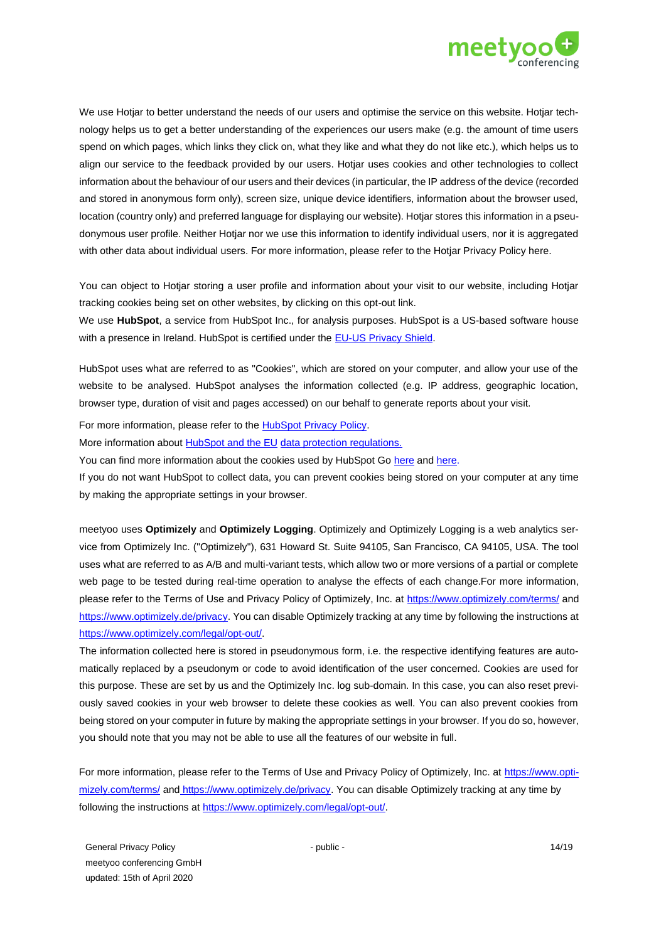

We use Hotjar to better understand the needs of our users and optimise the service on this website. Hotjar technology helps us to get a better understanding of the experiences our users make (e.g. the amount of time users spend on which pages, which links they click on, what they like and what they do not like etc.), which helps us to align our service to the feedback provided by our users. Hotjar uses cookies and other technologies to collect information about the behaviour of our users and their devices (in particular, the IP address of the device (recorded and stored in anonymous form only), screen size, unique device identifiers, information about the browser used, location (country only) and preferred language for displaying our website). Hotjar stores this information in a pseudonymous user profile. Neither Hotjar nor we use this information to identify individual users, nor it is aggregated with other data about individual users. For more information, please refer to the Hotjar Privacy Policy here.

You can object to Hotjar storing a user profile and information about your visit to our website, including Hotjar tracking cookies being set on other websites, by clicking on this opt-out link.

We use **HubSpot**, a service from HubSpot Inc., for analysis purposes. HubSpot is a US-based software house with a presence in Ireland. HubSpot is certified under the [EU-US Privacy Shield.](https://www.privacyshield.gov/list)

HubSpot uses what are referred to as "Cookies", which are stored on your computer, and allow your use of the website to be analysed. HubSpot analyses the information collected (e.g. IP address, geographic location, browser type, duration of visit and pages accessed) on our behalf to generate reports about your visit.

For more information, please refer to the [HubSpot Privacy Policy.](https://legal.hubspot.com/privacy-policy)

More information about **HubSpot and the EU** [data protection regulations.](https://legal.hubspot.com/data-privacy)

You can find more information about the cookies used by HubSpot Go [here](https://knowledge.hubspot.com/articles/kcs_article/reports/what-cookies-does-hubspot-set-in-a-visitor-s-browser) and [here.](https://knowledge.hubspot.com/articles/kcs_article/account/hubspot-cookie-security-and-privacy)

If you do not want HubSpot to collect data, you can prevent cookies being stored on your computer at any time by making the appropriate settings in your browser.

meetyoo uses **Optimizely** and **Optimizely Logging**. Optimizely and Optimizely Logging is a web analytics service from Optimizely Inc. ("Optimizely"), 631 Howard St. Suite 94105, San Francisco, CA 94105, USA. The tool uses what are referred to as A/B and multi-variant tests, which allow two or more versions of a partial or complete web page to be tested during real-time operation to analyse the effects of each change.For more information, please refer to the Terms of Use and Privacy Policy of Optimizely, Inc. at [https://www.optimizely.com/terms/](https://www.optimizely.de/terms) [a](https://www.optimizely.de/terms)n[d](file:///C:/Users/rhengstmann/AppData/Local/Microsoft/Windows/INetCache/Content.Outlook/WU20F5L1/) [https://www.optimizely.de/privacy.](https://www.optimizely.de/privacy) You can disable Optimizely tracking at any time by following the instructions at [https://www.optimizely.com/legal/opt-out/.](https://www.optimizely.com/legal/opt-out/)

The information collected here is stored in pseudonymous form, i.e. the respective identifying features are automatically replaced by a pseudonym or code to avoid identification of the user concerned. Cookies are used for this purpose. These are set by us and the Optimizely Inc. log sub-domain. In this case, you can also reset previously saved cookies in your web browser to delete these cookies as well. You can also prevent cookies from being stored on your computer in future by making the appropriate settings in your browser. If you do so, however, you should note that you may not be able to use all the features of our website in full.

For more information, please refer to the Terms of Use and Privacy Policy of Optimizely, Inc. at [https://www.opti](https://www.optimizely.de/terms)[mizely.com/terms/](https://www.optimizely.de/terms) an[d](file:///C:/Users/rhengstmann/AppData/Local/Microsoft/Windows/INetCache/Content.Outlook/WU20F5L1/) [https://www.optimizely.de/privacy.](https://www.optimizely.de/privacy) You can disable Optimizely tracking at any time by following the instructions at [https://www.optimizely.com/legal/opt-out/.](https://www.optimizely.com/legal/opt-out/)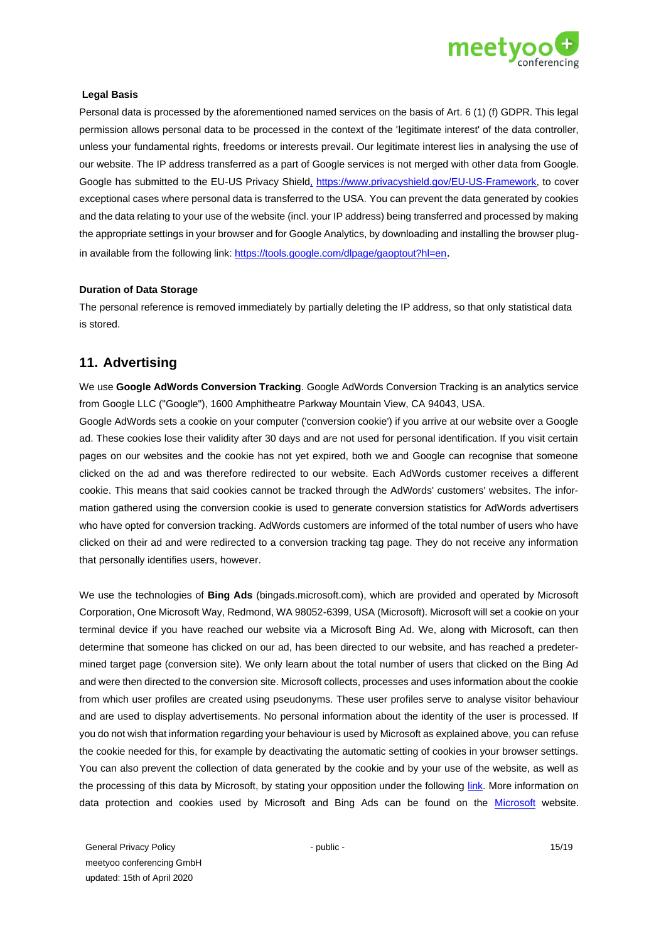

### **Legal Basis**

Personal data is processed by the aforementioned named services on the basis of Art. 6 (1) (f) GDPR. This legal permission allows personal data to be processed in the context of the 'legitimate interest' of the data controller, unless your fundamental rights, freedoms or interests prevail. Our legitimate interest lies in analysing the use of our website. The IP address transferred as a part of Google services is not merged with other data from Google. Google has submitted to the EU-US Privacy Shiel[d,](file:///C:/Business/Clients/UEB-PERF/Jobs/0366/Outgoing/en_gb/,) [https://www.privacyshield.gov/EU-US-Framework,](https://www.privacyshield.gov/EU-US-Framework) [to cover](https://www.privacyshield.gov/EU-US-Framework)  [exceptional cases where personal data is transferred to the USA.](https://www.privacyshield.gov/EU-US-Framework) You can prevent the data generated by cookies and the data relating to your use of the website (incl. your IP address) being transferred and processed by making the appropriate settings in your browser and for Google Analytics, by downloading and installing the browser plugin available from the following link:<https://tools.google.com/dlpage/gaoptout?hl=en>[.](http://tools.google.com/dlpage/gaoptout?hl=de)

### **Duration of Data Storage**

The personal reference is removed immediately by partially deleting the IP address, so that only statistical data is stored.

# **11. Advertising**

We use **Google AdWords Conversion Tracking**. Google AdWords Conversion Tracking is an analytics service from Google LLC ("Google"), 1600 Amphitheatre Parkway Mountain View, CA 94043, USA.

Google AdWords sets a cookie on your computer ('conversion cookie') if you arrive at our website over a Google ad. These cookies lose their validity after 30 days and are not used for personal identification. If you visit certain pages on our websites and the cookie has not yet expired, both we and Google can recognise that someone clicked on the ad and was therefore redirected to our website. Each AdWords customer receives a different cookie. This means that said cookies cannot be tracked through the AdWords' customers' websites. The information gathered using the conversion cookie is used to generate conversion statistics for AdWords advertisers who have opted for conversion tracking. AdWords customers are informed of the total number of users who have clicked on their ad and were redirected to a conversion tracking tag page. They do not receive any information that personally identifies users, however.

We use the technologies of **Bing Ads** (bingads.microsoft.com), which are provided and operated by Microsoft Corporation, One Microsoft Way, Redmond, WA 98052-6399, USA (Microsoft). Microsoft will set a cookie on your terminal device if you have reached our website via a Microsoft Bing Ad. We, along with Microsoft, can then determine that someone has clicked on our ad, has been directed to our website, and has reached a predetermined target page (conversion site). We only learn about the total number of users that clicked on the Bing Ad and were then directed to the conversion site. Microsoft collects, processes and uses information about the cookie from which user profiles are created using pseudonyms. These user profiles serve to analyse visitor behaviour and are used to display advertisements. No personal information about the identity of the user is processed. If you do not wish that information regarding your behaviour is used by Microsoft as explained above, you can refuse the cookie needed for this, for example by deactivating the automatic setting of cookies in your browser settings. You can also prevent the collection of data generated by the cookie and by your use of the website, as well as the processing of this data by Microsoft, by stating your opposition under the following [link.](file:///C:/Users/Gebruiker/Downloads/Link) More information on data protection and cookies used by Microsoft and Bing Ads can be found on the [Microsoft](file:///C:/Users/Gebruiker/Downloads/Microsoft) website.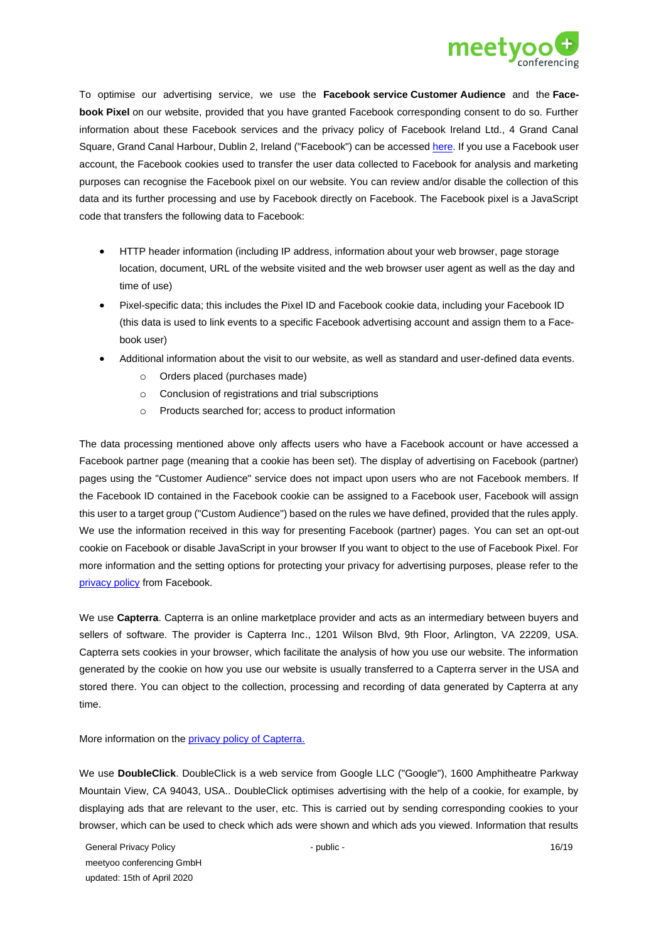

To optimise our advertising service, we use the **Facebook service Customer Audience** and the **Facebook Pixel** on our website, provided that you have granted Facebook corresponding consent to do so. Further information about these Facebook services and the privacy policy of Facebook Ireland Ltd., 4 Grand Canal Square, Grand Canal Harbour, Dublin 2, Ireland ("Facebook") can be accesse[d here.](https://www.facebook.com/privacy/explanation) If you use a Facebook user account, the Facebook cookies used to transfer the user data collected to Facebook for analysis and marketing purposes can recognise the Facebook pixel on our website. You can review and/or disable the collection of this data and its further processing and use by Facebook directly on Facebook. The Facebook pixel is a JavaScript code that transfers the following data to Facebook:

- HTTP header information (including IP address, information about your web browser, page storage location, document, URL of the website visited and the web browser user agent as well as the day and time of use)
- Pixel-specific data; this includes the Pixel ID and Facebook cookie data, including your Facebook ID (this data is used to link events to a specific Facebook advertising account and assign them to a Facebook user)
- Additional information about the visit to our website, as well as standard and user-defined data events.
	- o Orders placed (purchases made)
	- o Conclusion of registrations and trial subscriptions
	- o Products searched for; access to product information

The data processing mentioned above only affects users who have a Facebook account or have accessed a Facebook partner page (meaning that a cookie has been set). The display of advertising on Facebook (partner) pages using the "Customer Audience" service does not impact upon users who are not Facebook members. If the Facebook ID contained in the Facebook cookie can be assigned to a Facebook user, Facebook will assign this user to a target group ("Custom Audience") based on the rules we have defined, provided that the rules apply. We use the information received in this way for presenting Facebook (partner) pages. You can set an opt-out cookie on Facebook or disable JavaScript in your browser If you want to object to the use of Facebook Pixel. For more information and the setting options for protecting your privacy for advertising purposes, please refer to the [privacy policy](https://www.facebook.com/ads/website_custom_audiences/) from Facebook.

We use **Capterra**. Capterra is an online marketplace provider and acts as an intermediary between buyers and sellers of software. The provider is Capterra Inc., 1201 Wilson Blvd, 9th Floor, Arlington, VA 22209, USA. Capterra sets cookies in your browser, which facilitate the analysis of how you use our website. The information generated by the cookie on how you use our website is usually transferred to a Capterra server in the USA and stored there. You can object to the collection, processing and recording of data generated by Capterra at any time.

More information on the [privacy policy of Capterra.](https://www.capterra.com./legal/privacy-policy)

We use **DoubleClick**. DoubleClick is a web service from Google LLC ("Google"), 1600 Amphitheatre Parkway Mountain View, CA 94043, USA.. DoubleClick optimises advertising with the help of a cookie, for example, by displaying ads that are relevant to the user, etc. This is carried out by sending corresponding cookies to your browser, which can be used to check which ads were shown and which ads you viewed. Information that results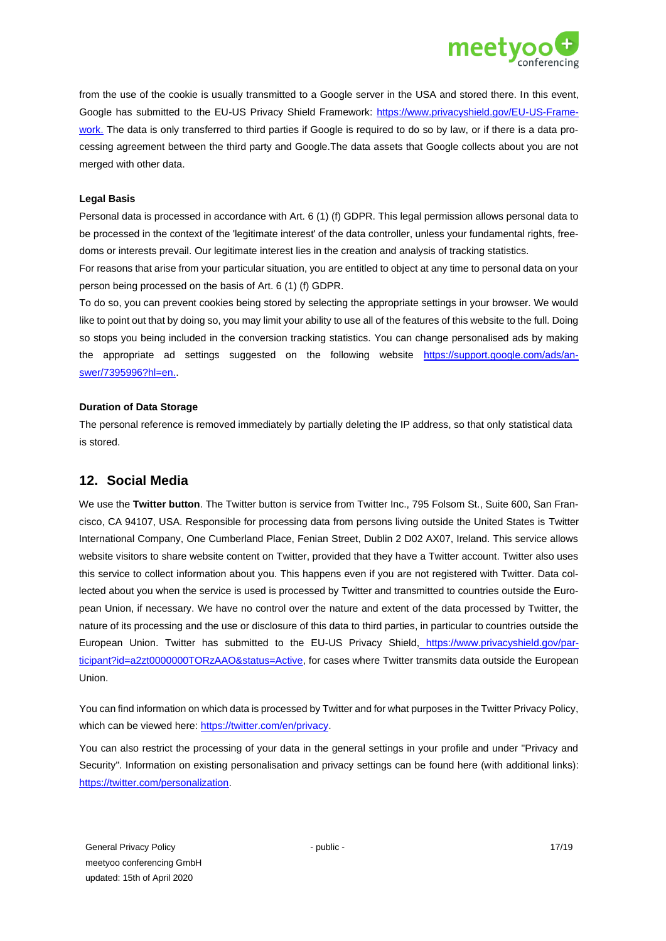

from the use of the cookie is usually transmitted to a Google server in the USA and stored there. In this event, Google has submitted to the EU-US Privacy Shield Framework: [https://www.privacyshield.gov/EU-US-Frame](https://www.privacyshield.gov/EU-US-Framework)[work.](https://www.privacyshield.gov/EU-US-Framework) The data is only transferred to third parties if Google is required to do so by law, or if there is a data processing agreement between the third party and Google.The data assets that Google collects about you are not merged with other data.

### **Legal Basis**

Personal data is processed in accordance with Art. 6 (1) (f) GDPR. This legal permission allows personal data to be processed in the context of the 'legitimate interest' of the data controller, unless your fundamental rights, freedoms or interests prevail. Our legitimate interest lies in the creation and analysis of tracking statistics.

For reasons that arise from your particular situation, you are entitled to object at any time to personal data on your person being processed on the basis of Art. 6 (1) (f) GDPR.

To do so, you can prevent cookies being stored by selecting the appropriate settings in your browser. We would like to point out that by doing so, you may limit your ability to use all of the features of this website to the full. Doing so stops you being included in the conversion tracking statistics. You can change personalised ads by making the appropriate ad settings suggested on the following website [https://support.google.com/ads/an](https://support.google.com/ads/answer/7395996?hl=en)[swer/7395996?hl=en](https://support.google.com/ads/answer/7395996?hl=en)[..](https://support.google.com/ads/answer/7395996)

#### **Duration of Data Storage**

The personal reference is removed immediately by partially deleting the IP address, so that only statistical data is stored.

## **12. Social Media**

We use the **Twitter button**. The Twitter button is service from Twitter Inc., 795 Folsom St., Suite 600, San Francisco, CA 94107, USA. Responsible for processing data from persons living outside the United States is Twitter International Company, One Cumberland Place, Fenian Street, Dublin 2 D02 AX07, Ireland. This service allows website visitors to share website content on Twitter, provided that they have a Twitter account. Twitter also uses this service to collect information about you. This happens even if you are not registered with Twitter. Data collected about you when the service is used is processed by Twitter and transmitted to countries outside the European Union, if necessary. We have no control over the nature and extent of the data processed by Twitter, the nature of its processing and the use or disclosure of this data to third parties, in particular to countries outside the European Union. Twitter has submitted to the EU-US Privacy Shield[,](file:///C:/Users/rhengstmann/AppData/Local/Microsoft/Windows/INetCache/Content.Outlook/WU20F5L1/) [https://www.privacyshield.gov/par](https://www.privacyshield.gov/participant?id=a2zt0000000TORzAAO&status=Active)[ticipant?id=a2zt0000000TORzAAO&status=Active,](https://www.privacyshield.gov/participant?id=a2zt0000000TORzAAO&status=Active) [for cases where Twitter transmits data outside the European](https://www.privacyshield.gov/participant?id=a2zt0000000TORzAAO&status=Active)  [Union.](https://www.privacyshield.gov/participant?id=a2zt0000000TORzAAO&status=Active)

You can find information on which data is processed by Twitter and for what purposes in the Twitter Privacy Policy, which can be viewed here[: https://twitter.com/en/privacy](https://twitter.com/en/privacy)[.](https://twitter.com/de/privacy)

You can also restrict the processing of your data in the general settings in your profile and under "Privacy and Security". Information on existing personalisation and privacy settings can be found here (with additional links): [https://twitter.com/personalization.](https://twitter.com/personalization)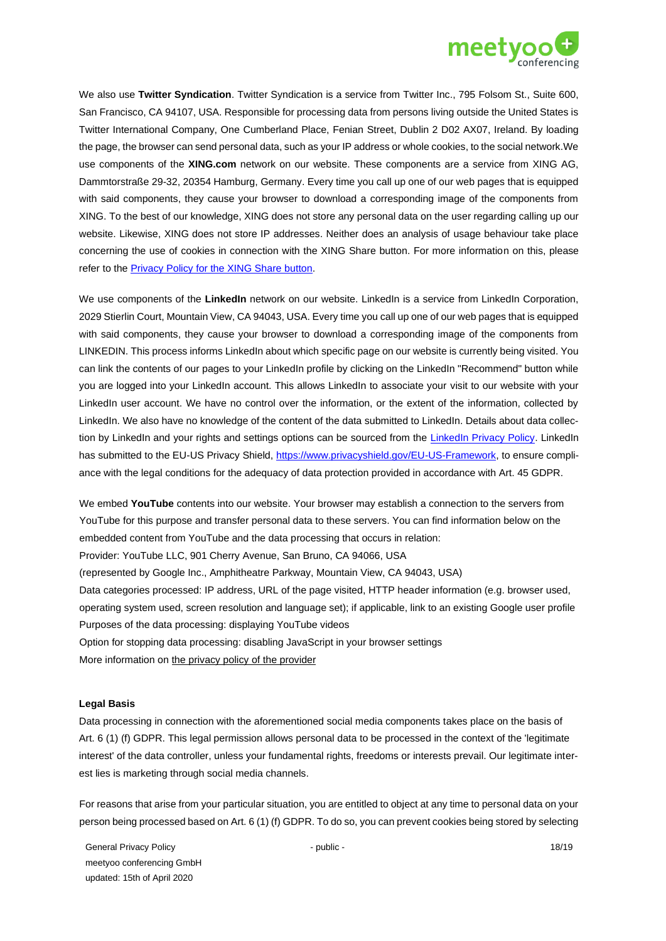

We also use **Twitter Syndication**. Twitter Syndication is a service from Twitter Inc., 795 Folsom St., Suite 600, San Francisco, CA 94107, USA. Responsible for processing data from persons living outside the United States is Twitter International Company, One Cumberland Place, Fenian Street, Dublin 2 D02 AX07, Ireland. By loading the page, the browser can send personal data, such as your IP address or whole cookies, to the social network.We use components of the **XING.com** network on our website. These components are a service from XING AG, Dammtorstraße 29-32, 20354 Hamburg, Germany. Every time you call up one of our web pages that is equipped with said components, they cause your browser to download a corresponding image of the components from XING. To the best of our knowledge, XING does not store any personal data on the user regarding calling up our website. Likewise, XING does not store IP addresses. Neither does an analysis of usage behaviour take place concerning the use of cookies in connection with the XING Share button. For more information on this, please refer to th[e Privacy Policy for the XING Share](https://privacy.xing.com/en/privacy-policyn) [button.](https://www.xing.com/app/share?op=data_protection)

We use components of the **LinkedIn** network on our website. LinkedIn is a service from LinkedIn Corporation, 2029 Stierlin Court, Mountain View, CA 94043, USA. Every time you call up one of our web pages that is equipped with said components, they cause your browser to download a corresponding image of the components from LINKEDIN. This process informs LinkedIn about which specific page on our website is currently being visited. You can link the contents of our pages to your LinkedIn profile by clicking on the LinkedIn "Recommend" button while you are logged into your LinkedIn account. This allows LinkedIn to associate your visit to our website with your LinkedIn user account. We have no control over the information, or the extent of the information, collected by LinkedIn. We also have no knowledge of the content of the data submitted to LinkedIn. Details about data collec-tion by LinkedIn and your rights and settings options can be sourced from the [LinkedIn Privacy Policy.](https://www.linkedin.com/legal/privacy-policy) LinkedIn has submitted to the EU-US Privacy Shield, [https://www.privacyshield.gov/EU-US-Framework,](https://www.privacyshield.gov/EU-US-Framework) [t](https://www.privacyshield.gov/EU-US-Framework)o ensure compliance with the legal conditions for the adequacy of data protection provided in accordance with Art. 45 GDPR.

We embed **YouTube** contents into our website. Your browser may establish a connection to the servers from YouTube for this purpose and transfer personal data to these servers. You can find information below on the embedded content from YouTube and the data processing that occurs in relation: Provider: YouTube LLC, 901 Cherry Avenue, San Bruno, CA 94066, USA (represented by Google Inc., Amphitheatre Parkway, Mountain View, CA 94043, USA) Data categories processed: IP address, URL of the page visited, HTTP header information (e.g. browser used, operating system used, screen resolution and language set); if applicable, link to an existing Google user profile Purposes of the data processing: displaying YouTube videos Option for stopping data processing: disabling JavaScript in your browser settings More information on [the privacy policy of the provider](https://policies.google.com/?hl=en)

#### **Legal Basis**

Data processing in connection with the aforementioned social media components takes place on the basis of Art. 6 (1) (f) GDPR. This legal permission allows personal data to be processed in the context of the 'legitimate interest' of the data controller, unless your fundamental rights, freedoms or interests prevail. Our legitimate interest lies is marketing through social media channels.

For reasons that arise from your particular situation, you are entitled to object at any time to personal data on your person being processed based on Art. 6 (1) (f) GDPR. To do so, you can prevent cookies being stored by selecting

General Privacy Policy meetyoo conferencing GmbH updated: 15th of April 2020